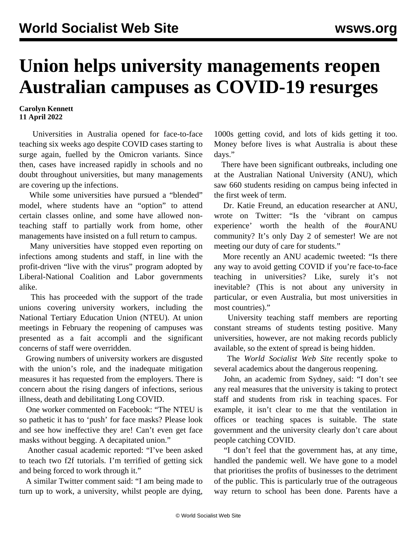## **Union helps university managements reopen Australian campuses as COVID-19 resurges**

## **Carolyn Kennett 11 April 2022**

 Universities in Australia opened for face-to-face teaching six weeks ago despite COVID cases starting to surge again, fuelled by the Omicron variants. Since then, cases have increased rapidly in schools and no doubt throughout universities, but many managements are covering up the infections.

 While some universities have pursued a "blended" model, where students have an "option" to attend certain classes online, and some have allowed nonteaching staff to partially work from home, other managements have insisted on a full return to campus.

 Many universities have stopped even reporting on infections among students and staff, in line with the profit-driven "live with the virus" program adopted by Liberal-National Coalition and Labor governments alike.

 This has proceeded with the support of the trade unions covering university workers, including the National Tertiary Education Union (NTEU). At union meetings in February the reopening of campuses was presented as a fait accompli and the significant concerns of staff were overridden.

 Growing numbers of university workers are disgusted with the union's role, and the inadequate mitigation measures it has requested from the employers. There is concern about the rising dangers of infections, serious illness, death and debilitating Long COVID.

 One worker commented on Facebook: "The NTEU is so pathetic it has to 'push' for face masks? Please look and see how ineffective they are! Can't even get face masks without begging. A decapitated union."

 Another casual academic reported: "I've been asked to teach two f2f tutorials. I'm terrified of getting sick and being forced to work through it."

 A similar Twitter comment said: "I am being made to turn up to work, a university, whilst people are dying,

1000s getting covid, and lots of kids getting it too. Money before lives is what Australia is about these days."

 There have been significant outbreaks, including one at the Australian National University (ANU), which saw 660 students residing on campus being infected in the first week of term.

 Dr. Katie Freund, an education researcher at ANU, wrote on Twitter: "Is the 'vibrant on campus experience' worth the health of the #ourANU community? It's only Day 2 of semester! We are not meeting our duty of care for students."

 More recently an ANU academic tweeted: "Is there any way to avoid getting COVID if you're face-to-face teaching in universities? Like, surely it's not inevitable? (This is not about any university in particular, or even Australia, but most universities in most countries)."

 University teaching staff members are reporting constant streams of students testing positive. Many universities, however, are not making records publicly available, so the extent of spread is being hidden.

 The *World Socialist Web Site* recently spoke to several academics about the dangerous reopening.

 John, an academic from Sydney, said: "I don't see any real measures that the university is taking to protect staff and students from risk in teaching spaces. For example, it isn't clear to me that the ventilation in offices or teaching spaces is suitable. The state government and the university clearly don't care about people catching COVID.

 "I don't feel that the government has, at any time, handled the pandemic well. We have gone to a model that prioritises the profits of businesses to the detriment of the public. This is particularly true of the outrageous way return to school has been done. Parents have a